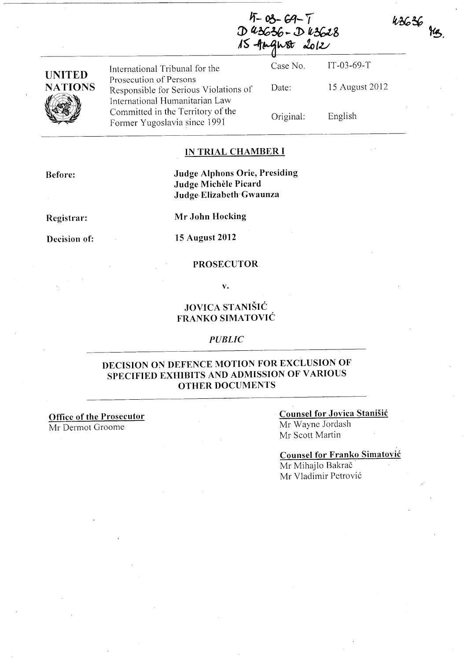$4-03-69-7$ <br>D 43636 - D 43628 15 August 2012

| <b>JNITED</b>  | International Tribunal for the                                                                      | Case No.  | IT-03-69-T     |
|----------------|-----------------------------------------------------------------------------------------------------|-----------|----------------|
| <b>NATIONS</b> | Prosecution of Persons<br>Responsible for Serious Violations of                                     | Date:     | 15 August 2012 |
|                | International Humanitarian Law<br>Committed in the Territory of the<br>Former Yugoslavia since 1991 | Original: | English        |

## **IN TRIAL CHAMBER I**

**Before:** 

## **Judge Alphons Orie, Presiding Judge Michele Picard Judge. Elizabeth"Gwaunza**

**Registrar:** 

**Mr John Hocking** 

**Decision of:** 

**15 August 2012** 

#### **PROSECUTOR**

**v.** 

# **JOVICA STANISIC FRANKO SIMATOVIC**

### *PUBLIC*

## **DECISION ON DEFENCE MOTION FOR ExcLuSION OF SPECIFIED EXHIBITS AND ADMISSION OF VARIOUS OTHER DOCUMENTS**

**Office of the Prosecutor** 

Mr Dermot Groome

**Counsel for Jovica Stanisic**  Mr Wayne Jordash Mr Scott Martin

**Counsel for Franko Simatovic**  Mr Mihajlo Bakrač Mr Vladimir Petrovi6

 $43636$   $\frac{1}{9}$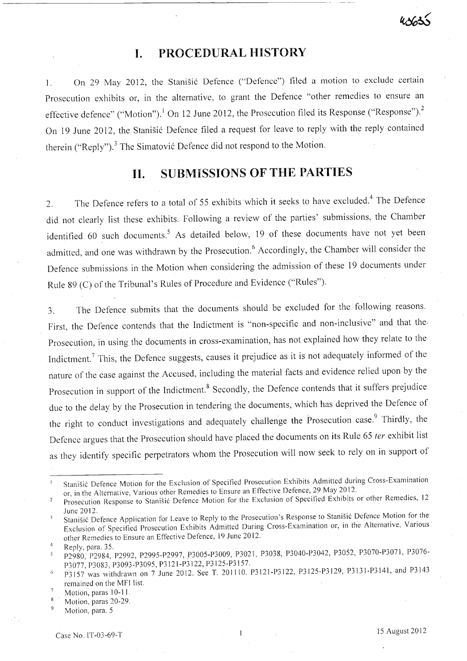# **I. PROCEDURAL HISTORY**

1. On 29 May 2012, the Stanišić Defence ("Defence") filed a motion to exclude certain Prosecution exhibits or, in the alternative, to grant the Defence "other remedies to ensure an effective defence" ("Motion").<sup>1</sup> On 12 June 2012, the Prosecution filed its Response ("Response").<sup>2</sup> On 19 June 2012, the Stanišić Defence filed a request for leave to reply with the reply contained therein ("Reply").<sup>3</sup> The Simatović Defence did not respond to the Motion.

# **11. SUBMISSIONS OF THE PARTIES**

2. The Defence refers to a total of 55 exhibits which it seeks to have excluded.<sup>4</sup> The Defence did not clearly list these exhibits. Following a review of the parties' submissions, the Chamber identified 60 such documents.<sup>5</sup> As detailed below, 19 of these documents have not yet been admitted, and one was withdrawn by the Prosecution.<sup>6</sup> Accordingly, the Chamber will consider the Defence submissions in the Motion when considering the admission of these 19 documents under Rule 89 (C) of the Tribunal's Rules of Procedure and Evidence ("Rules").

3. The Defence submits that the documents should be excluded for the following reasons. First, the Defence contends that the Indictment is "non-specific and non-inclusive" and that the-Prosecution, in using the documents in cross-examination, has not explained how they relate to the Indictment.<sup>7</sup> This, the Defence suggests, causes it prejudice as it is not adequately informed of the nature of the case against the Accused, including the material facts and evidence relied upon by the Prosecution in support of the Indictment.<sup>8</sup> Secondly, the Defence contends that it suffers prejudice due to the delay by the Prosecution in tendering the documents, which has deprived the Defence of the right to conduct investigations and adequately challenge the Prosecution case. Thirdly, the Defence argues that the Prosecution should have placed the documents on its Rule 65 ter exhibit list as they identify specific perpetrators whom the Prosecution will now seek to rely on in support of

Stanisic Defence Motion for the Exclusion of Specified Prosecution Exhibits Admitted during Cross-Examination  $\mathbf{1}$ or, in the Alternative, Various other Remedies to Ensure an Effective Defence, 29 May 2012.

Prosecution Response to Stanisic Defence Motion for the Exclusion of Specified Exhibits or other Remedies, 12  $\overline{2}$ June2012.

Stanisic Defence Application for Leave to Reply to the Prosecution'S Response to Stanisic Defence Motion for the 3 Exclusion of Specified Prosecution Exhibits Admitted During Cross-Examination or, in the Alternative, Various· other Remedies to Ensure an Effective Defence, 19 June 2012.

Reply, para. 35.

P2980, P2984, P2992, P2995-P2997, P3005-P3009, P3021, P3038, P3040-P3042, P3052, P3070-P3071, P3076- P3077, P3083, P3093-P3095, P3121-P3122, P3125-P3157.

P3157 was withdrawn on 7 June 2012. See T. 201110. P3121-P3122, P3125-P3129, P3131-P3141, and P3143  $\overline{6}$ remained on the MFI list.

Motion, paras 10-11.

Motion, paras 20-29.

Motion, para. 5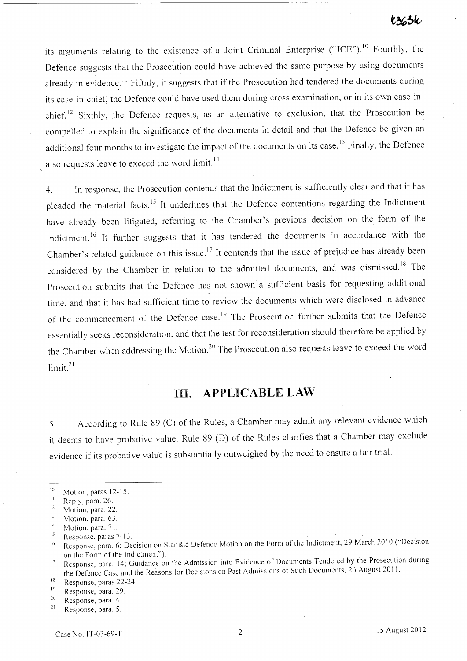its arguments relating to the existence of a Joint Criminal Enterprise ("JCE").<sup>10</sup> Fourthly, the Defence suggests that the Prosecution could have achieved the same purpose by using documents already in evidence.<sup>11</sup> Fifthly, it suggests that if the Prosecution had tendered the documents during its case-in-chief, the Defence could have used them during cross examination, or in its own case-inchief.<sup>12</sup> Sixthly, the Defence requests, as an alternative to exclusion, that the Prosecution be compelled to explain the significance of the documents in detail and that the Defence be given an additional four months to investigate the impact of the documents on its case.<sup>13</sup> Finally, the Defence also requests leave to exceed the word limit. 14

4. In response, the Prosecution contends that the Indictment is sufficiently clear and that it has pleaded the material facts. 15 It underlines that the Defence contentions regarding the Indictment have already been litigated, referring to the Chamber's previous decision on the form of the Indictment.<sup>16</sup> It further suggests that it has tendered the documents in accordance with the Chamber's related guidance on this issue.17 It contends that the issue of prejudice has already been considered by the Chamber in relation to the admitted documents, and was dismissed.<sup>18</sup> The Prosecution submits that the Defence has not shown a sufficient basis for requesting additional time, and that it has had sufficient time to review the documents which were disclosed in advance of the commencement of the Defence case.<sup>19</sup> The Prosecution further submits that the Defence essentially seeks reconsideration, and that the test for reconsideration should therefore be applied by the Chamber when addressing the Motion.<sup>20</sup> The Prosecution also requests leave to exceed the word limit.<sup>21</sup>

# **Ill. APPLICABLE LAW**

5. According to Rule 89 (C) of the Rules, a Chamber may admit any relevant evidence which it deems to have probative value. Rule 89 (D) of the Rules clarifies that a Chamber may exclude evidence if its probative value is substantially outweighed by the need to ensure a fair trial.

 $10$  Motion, paras 12-15.

<sup>&</sup>lt;sup>11</sup> Reply, para. 26.

 $12$  Motion, para. 22.

<sup>&</sup>lt;sup>13</sup> Motion, para. 63.

<sup>&</sup>lt;sup>14</sup> Motion, para. 71.

<sup>&</sup>lt;sup>15</sup> Response, paras 7-13.

<sup>&</sup>lt;sup>16</sup> Response, para. 6; Decision on Stanišić Defence Motion on the Form of the Indictment, 29 March 2010 ("Decision on the Form of the Indictment").

<sup>&</sup>lt;sup>17</sup> Response, para. 14; Guidance on the Admission into Evidence of Documents Tendered by the Prosecution during the Defence Case and the Reasons for Decisions on Past Admissions of Such Documents, 26 August 2011.

 $18$  Response, paras 22-24.

 $^{19}$  Response, para. 29.

<sup>20</sup>**Response, para. 4.** 

<sup>&</sup>lt;sup>21</sup> Response, para. 5.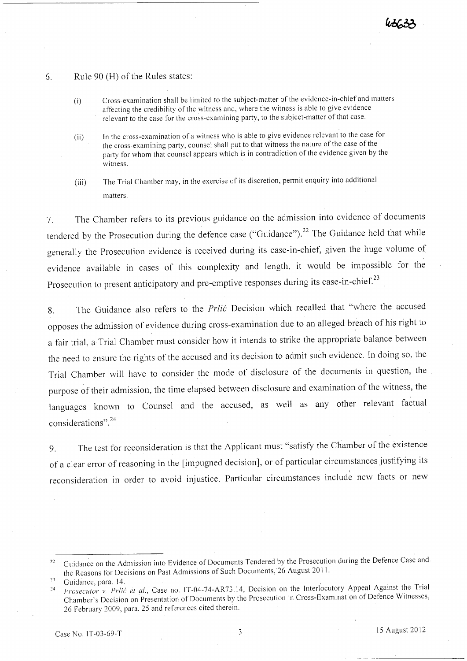## 6. Rule 90 (H) of the Rules states:

- (i) Cross-examination shall be limited to the subject-matter of the evidence-in-chiefand matters affecting the credibility of the witness and, where the witness is able to give evidence relevant to the case for the cross-examining party, to the subject-matter of that case.
- (ii) In the cross-examination of a witness who is able to give evidence relevant to the case for the cross-examining party, counsel shall put to that witness the nature of the case of the party for whom that counsel appears which is in contradiction of the evidence given by the witness.
- (iii) The Trial Chamber may, in the exercise of its discretion, permit enquiry into additional matters.

7. The Chamber refers to its previous guidance on the admission into evidence of documents tendered by the Prosecution during the defence case ("Guidance").<sup>22</sup> The Guidance held that while generally the Prosecution evidence is received during its case-in-chief, given the huge volume of evidence available in cases of this complexity and length, it would be impossible for the Prosecution to present anticipatory and pre-emptive responses during its case-in-chief.<sup>23</sup>

8. The Guidance also refers to the *Prlic* Decision which recalled that "where the accused opposes the admission of evidence during cross-examination due to an alleged breach of his right to a fair trial, a Trial Chamber must consider how it intends to strike the appropriate balance between the need to ensure the rights of the accused and its decision to admit such evidence. **In** doing so, the Trial Chamber will have to consider the mode of disclosure of the documents in question, the purpose of their admission, the time elapsed between disclosure and examination of the witness, the languages known to Counsel and the accused, as well as any other relevant factual considerations".24

9. The test for reconsideration is that the Applicant must "satisfy the Chamber of the existence of a clear error of reasoning in the [impugned decision], or of particular circumstances justifying its reconsideration in order to avoid injustice. Particular circumstances include new facts or new

<sup>&</sup>lt;sup>22</sup> Guidance on the Admission into Evidence of Documents Tendered by the Prosecution during the Defence Case and the Reasons for Decisions on Past Admissions of Such Documents, 26 August 2011.<br>
Guidance, para. 14.

Guidance, para. 14.

<sup>24</sup>  *Prosecutor v. Prlić et al., Case no. IT-04-74-AR73.14, Decision on the Interlocutory Appeal Against the Tria* Chamber's Decision on Presentation of Documents by the Prosecution in Cross-Examination of Defence Witnesses, 26 February 2009, para. 25 and references cited therein.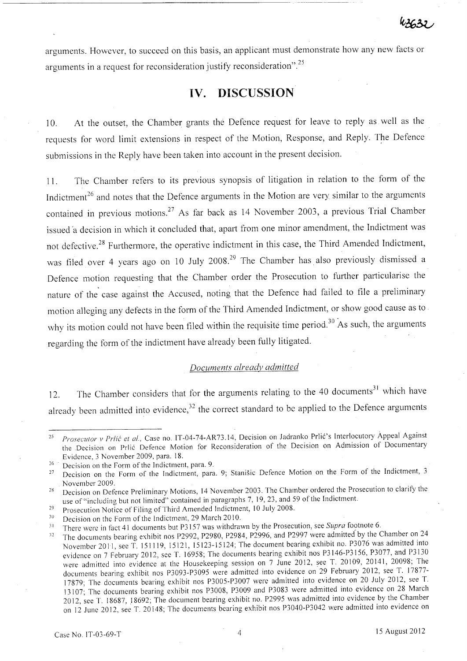arguments. However, to succeed on this basis, an applicant must demonstrate how any new facts or arguments in a request for reconsideration justify reconsideration".25

# **IV. DISCUSSION**

1 O. At the outset, the Chamber grants the Defence request for leave to reply as well as the requests for word limit extensions in respect of the Motion, Response, and Reply. The Defence submissions in the Reply have been taken into account in the present decision.

11. The Chamber refers to its previous synopsis of litigation in relation to the form of the Indictment<sup>26</sup> and notes that the Defence arguments in the Motion are very similar to the arguments contained in previous motions.<sup>27</sup> As far back as 14 November 2003, a previous Trial Chamber issued 'a decision in which it concluded that, apart from one minor amendment, the Indictment was not defective.<sup>28</sup> Furthermore, the operative indictment in this case, the Third Amended Indictment, was filed over 4 years ago on 10 July 2008.<sup>29</sup> The Chamber has also previously dismissed a Defence motion requesting that the Chamber order the Prosecution to further particularise the nature of the case against the Accused, noting that the Defence had failed to file a preliminary motion alleging any defects in the form of the Third Amended Indictment, or show good cause as to why its motion could not have been filed within the requisite time period.<sup>30</sup> As such, the arguments regarding the form of the indictment have already been fully litigated.

# *Documents already admitted*

12. The Chamber considers that for the arguments relating to the 40 documents<sup>31</sup> which have already been admitted into evidence, $32$  the correct standard to be applied to the Defence arguments

29 Prosecution Notice of Filing of Third Amended Indictment, 10 July 2008.

<sup>&</sup>lt;sup>25</sup> Prosecutor v Prlić et al., Case no. IT-04-74-AR73.14, Decision on Jadranko Prlić's Interlocutory Appeal Against the Decision on Prlie Defence Motion for Reconsideration of the Decision on Admission of Documentary Evidence, 3 November 2009, para. 18.

 $\frac{26}{27}$  Decision on the Form of the Indictment, para. 9.<br><sup>27</sup> Decision on the Form of the Indictment, para.

Decision on the Form of the Indictment, para. 9; Stanisic Defence Motion on the Form of the Indictment, 3 November 2009.

Decision on Defence Preliminary Motions, 14 November 2003. The Chamber ordered the Prosecution to clarify the 28 use of "including but not limited" contained in paragraphs 7, 19,23, and 59 of the Indictment.

<sup>30</sup>  Decision on the Form of the Indictment, 29 March 2010.

**<sup>31</sup>**  There were in fact 41 documents but P3 157 was withdrawn by the Prosecution, see *Supra* footnote 6.

<sup>32</sup>  The documents bearing exhibit nos P2992, P2980, P2984, P2996, and P2997 were admitted by the Chamber on 24 November 20 11, see T. 151119, 15121, 15123-15124; The document bearing exhibit no. P3076 was admitted into evidence on 7 February 2012, see T. 16958; The documents bearing exhibit nos P3146-P3156, P3077, and P3130 were admitted into evidence at the Housekeeping session on 7 June 2012, see T. 20109, 20141, 20098; The documents bearing exhibit nos P3093-P3095 were admitted into evidence on 29 February 2012, see T. 17877- 17879; The documents bearing exhibit nos P3005-P3007 were admitted into evidence on 20 July 2012, see T. 13107; The documents bearing exhibit nos P3008, P3009 and P3083 were admitted into evidence on 28 March 2012, see T. 18687,18692; The document bearing exhibit no. P2995 was admitted into evidence by the Chamber on 12 June 2012, see T. 20148; The documents bearing exhibit nos P3040-P3042 were admitted into evidence on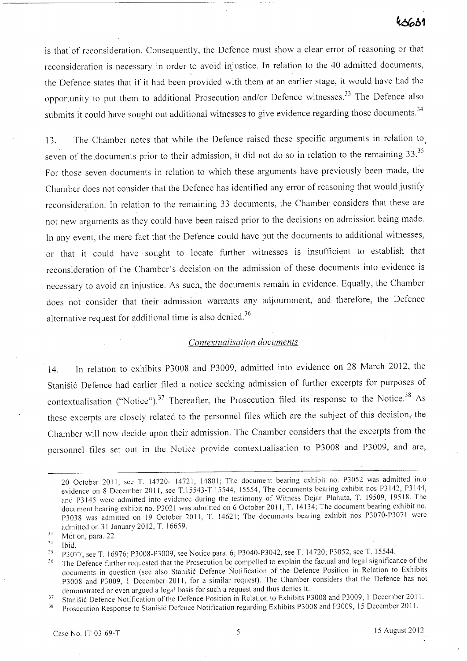is that of reconsideration. Consequently, the Defence must show a clear error of reasoning or that reconsideration is necessary in order to avoid injustice. In relation to the 40 admitted documents, the Defence states that if it had been provided with them at an earlier stage, it would have had the opportunity to put them to additional Prosecution and/or Defence witnesses.<sup>33</sup> The Defence also submits it could have sought out additional witnesses to give evidence regarding those documents.<sup>34</sup>

13. The Chamber notes that while the Defence raised these specific arguments in relation to seven of the documents prior to their admission, it did not do so in relation to the remaining 33.<sup>35</sup> For those seven documents in relation to which these arguments have previously been made, the Chamber does not consider that the Defence has identified any error of reasoning that would justify reconsideration. In relation to the remaining 33 documents, the Chamber considers that these are not new arguments as they could have been raised prior to the decisions on admission being made. In any event, the mere fact that the Defence could have put the documents to additional witnesses, or that it could have sought to locate further witnesses is insufficient to establish that reconsideration of the Chamber's decision on the admission of these documents into evidence is necessary to avoid an injustice. As such, the documents remain in evidence. Equally, the Chamber does not consider that their admission warrants any adjournment, and therefore, the Defence alternative request for additional time is also denied. <sup>36</sup>

## *Contextualisation documents*

14. In relation to exhibits P3008 and P3009, admitted into evidence on 28 March 2012, the Stanišić Defence had earlier filed a notice seeking admission of further excerpts for purposes of contextualisation ("Notice").<sup>37</sup> Thereafter, the Prosecution filed its response to the Notice.<sup>38</sup> As these excerpts are closely related to the personnel files which are the subject of this decision, the Chamber will now decide upon their admission. The Chamber considers that the excerpts from the personnel files set out in the Notice provide contextualisation to P3008 and P3009, and are,

33 Motion, para. 22.

<sup>20</sup> October 2011, see T. 14720- 14721, 14801; The document bearing exhibit no. P3052 was admitted into evidence on 8 December 2011, see T.15543-T.15544, 15554; The documents bearing exhibit nos P3142, P3144, and P3145 were admitted into evidence during the testimony of Witness Dejan Plahuta, T. 19509, 19518. The document bearing exhibit no. P3021 was admitted on 6 October 2011, T. 14134; The document bearing exhibit no. P3038 was admitted on 19 October 2011, T. 14621; The documents bearing exhibit nos P3070-P3071 were admitted on 31 January 2012, T. 16659.

<sup>34</sup>  Ibid.

<sup>&</sup>lt;sup>35</sup> P3077, see T. 16976; P3008-P3009, see Notice para. 6; P3040-P3042, see T. 14720; P3052, see T. 15544.

<sup>&</sup>lt;sup>36</sup> The Defence further requested that the Prosecution be compelled to explain the factual and legal significance of the documents in question (see also Stanisic Defence Notification of the Defence Position in Relation to Exhibits P3008 and P3009, I December 2011, for a similar request). The Chamber considers that the Defence has not demonstrated or even argued a legal basis for such a request and thus denies it.

<sup>&</sup>lt;sup>37</sup> Stanišić Defence Notification of the Defence Position in Relation to Exhibits P3008 and P3009, 1 December 2011.

<sup>&</sup>lt;sup>38</sup> Prosecution Response to Stanišić Defence Notification regarding Exhibits P3008 and P3009, 15 December 2011.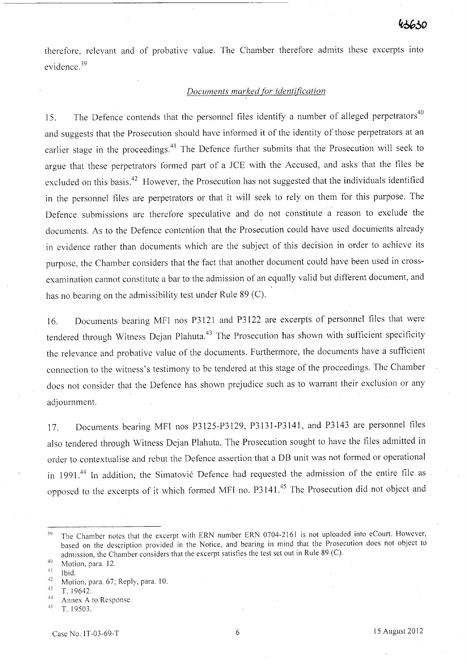therefore, relevant and of probative value. The Chamber therefore admits these excerpts into evidence. <sup>39</sup>

## *Documents marked [or identification*

15. The Defence contends that the personnel files identify a number of alleged perpetrators<sup>40</sup> and suggests that the Prosecution should have informed it of the identity of those perpetrators at an earlier stage in the proceedings.<sup>41</sup> The Defence further submits that the Prosecution will seek to argue that these perpetrators formed part of a *lCE* with the Accused, and asks that the files be excluded on this basis.<sup>42</sup> However, the Prosecution has not suggested that the individuals identified in the personnel files are perpetrators or that it will seek to rely on them for this purpose. The Defence submissions are therefore speculative and do not constitute a reason to exclude the documents. As to the Defence contention that the Prosecution could have used documents already in evidence rather than documents which are the subject of this decision in order to achieve its purpose, the Chamber considers that the fact that another document could have been used in crossexamination cannot constitute a bar to the admission of an equally valid but different document, and has no bearing on the admissibility test under Rule 89 (C).

16. Documents bearing MFI nos P3121 and P3122 are excerpts of personnel files that were tendered through Witness Dejan Plahuta.<sup>43</sup> The Prosecution has shown with sufficient specificity the relevance and probative value of the documents. Furthermore, the documents have a sufficient connection to the witness's testimony to be tendered at this stage of the proceedings. The Chamber does not consider that the Defence has shown prejudice such as to warrant their exclusion or any adjournment.

17. Documents bearing MFI nos P312S-P3129, P3131-P3141, and P3143 are personnel files also tendered through Witness Dejan Plahuta. The Prosecution sought to have the files admitted in order to contextualise and rebut the Defence assertion that a DB unit was not formed or operational in 1991.<sup>44</sup> In addition, the Simatović Defence had requested the admission of the entire file as opposed to the excerpts of it which formed MFI no. P3141.45 The Prosecution did not object and

<sup>&</sup>lt;sup>39</sup> The Chamber notes that the excerpt with ERN number ERN 0704-2161 is not uploaded into eCourt. However, based on the description provided in the Notice, and bearing in mind that the Prosecution does not object to admission, the Chamber considers that the excerpt satisfies the test set out in Rule 89 (C).

<sup>40</sup> Motion, para. 12.

 $41$  Ibid.

<sup>&</sup>lt;sup>42</sup> Motion, para. 67; Reply, para. 10.

<sup>43</sup> T. 19642.

 $^{44}$  Annex A to Response.

<sup>45</sup>T. 19503.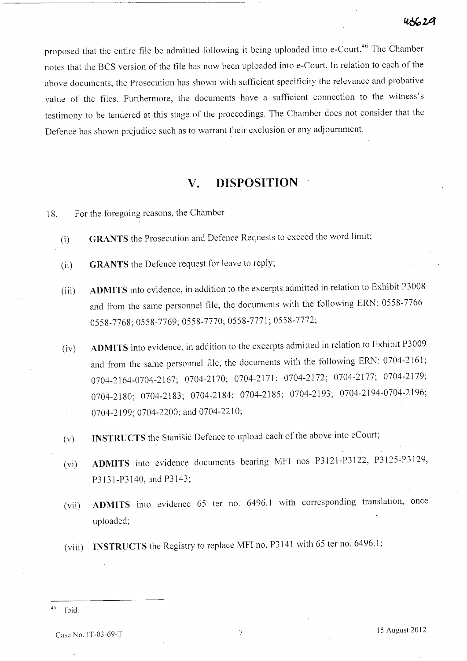proposed that the entire file be admitted following it being uploaded into e-Court. 46 The Chamber notes that the BCS version of the file has now been uploaded into e-Court. In relation to each of the above documents, the Prosecution has shown with sufficient specificity the relevance and probative value of the files. Furthermore, the documents have a sufficient connection to the witness's  $\frac{1}{1}$  estimony to be tendered at this stage of the proceedings. The Chamber does not consider that the Defence has shown prejudice such as to warrant their exclusion or any adjournment.

# **v. DISPOSITION**

18. For the foregoing reasons, the Chamber

- (i) **GRANTS** the Prosecution and Defence Requests to exceed the word limit;
- (ii) **GRANTS** the Defence request for leave to reply;
- (iii) **ADMITS** into evidence, in addition to the excerpts admitted in relation to Exhibit P3008 and from the same personnel file, the documents with the following ERN: 0558-7766- 0558-7768;0558-7769;0558-7770;0558-7771;0558-7772;
- (iv) **ADMITS** into evidence, in addition to the excerpts admitted in relation to Exhibit P3009 and from the same personnel file, the documents with the following ERN: 0704-2161; 0704-2164-0704-2167; 0704-2170; 0704-2171; 0704-2172; 0704-2177; 0704-2179; 0704-2180; 0704-2183; 0704-2184; 0704-2185; 0704-2193; 0704-2194-0704-2196; 0704-2199; 0704-2200; and 0704-2210;
- (v) **INSTRUCTS** the Stanisic Defence to upload each of the above into eCourt;
- (vi) **ADMITS** into evidence documents bearing MFI nos P3121-P3122, P3125-P3129, P3131-P3140, and P3143;
- (vii) **ADMITS** into evidence 65 ter no. 6496.1 with corresponding translation, once uploaded;
- (viii) **INSTRUCTS** the Registry to replace MFI no. P3141 with 65 ter no. 6496.1;

 $46$  Ibid.